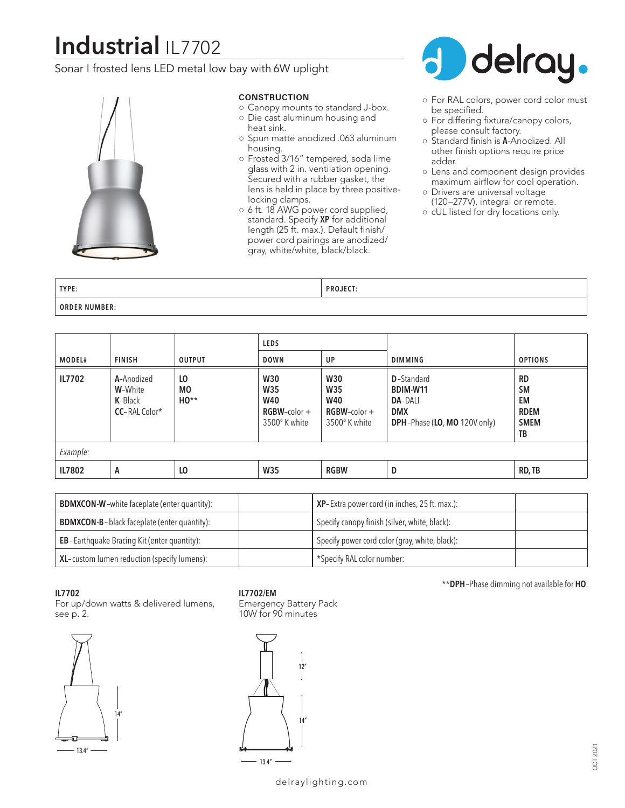# **Industrial** IL7702

Sonar I frosted lens LED metal low bay with 6W uplight



#### **CONSTRUCTION**

- Canopy mounts to standard J-box.
- Die cast aluminum housing and
- heat sink.
- Spun matte anodized .063 aluminum housing.
- Frosted 3/16" tempered, soda lime glass with 2 in. ventilation opening. Secured with a rubber gasket, the lens is held in place by three positivelocking clamps.
- 6 ft. 18 AWG power cord supplied, standard. Specify **XP** for additional length (25 ft. max.). Default finish/ power cord pairings are anodized/ gray, white/white, black/black.



- For RAL colors, power cord color must be specified.
- For differing fixture/canopy colors, please consult factory.
- Standard finish is **A**-Anodized. All other finish options require price adder.
- Lens and component design provides maximum airflow for cool operation.
- Drivers are universal voltage (120–277V), integral or remote.
- cUL listed for dry locations only.

| TYPE:                | <b>DDAIECT</b><br>×uJEC.<br>. |
|----------------------|-------------------------------|
| <b>ORDER NUMBER:</b> |                               |

|          |                                                                  |                           | <b>LEDS</b>                                                         |                                                                     |                                                                                                       |                                                                  |
|----------|------------------------------------------------------------------|---------------------------|---------------------------------------------------------------------|---------------------------------------------------------------------|-------------------------------------------------------------------------------------------------------|------------------------------------------------------------------|
| MODEL#   | <b>FINISH</b>                                                    | <b>OUTPUT</b>             | <b>DOWN</b>                                                         | UP                                                                  | <b>DIMMING</b>                                                                                        | <b>OPTIONS</b>                                                   |
| IL7702   | A-Anodized<br>W-White<br><b>K-</b> Black<br><b>CC-RAL Color*</b> | LO<br><b>MO</b><br>$HO**$ | <b>W30</b><br>W35<br><b>W40</b><br>$RGBW$ -color +<br>3500° K white | <b>W30</b><br>W35<br><b>W40</b><br>$RGBW$ -color +<br>3500° K white | <b>D</b> -Standard<br><b>BDIM-W11</b><br><b>DA-DALI</b><br><b>DMX</b><br>DPH-Phase (LO, MO 120V only) | <b>RD</b><br><b>SM</b><br>EM<br><b>RDEM</b><br><b>SMEM</b><br>TB |
| Example: |                                                                  |                           |                                                                     |                                                                     |                                                                                                       |                                                                  |
| IL7802   | А                                                                | LO                        | <b>W35</b>                                                          | <b>RGBW</b>                                                         | D                                                                                                     | RD, TB                                                           |

| <b>BDMXCON-W</b> -white faceplate (enter quantity): | <b>XP</b> -Extra power cord (in inches, $25$ ft. max.): |
|-----------------------------------------------------|---------------------------------------------------------|
| <b>BDMXCON-B-black faceplate (enter quantity):</b>  | Specify canopy finish (silver, white, black):           |
| EB-Earthquake Bracing Kit (enter quantity):         | Specify power cord color (gray, white, black):          |
| XL-custom lumen reduction (specify lumens):         | *Specify RAL color number:                              |

#### **IL7702**

For up/down watts & delivered lumens, see p. 2.



## **IL7702/EM**

Emergency Battery Pack 10W for 90 minutes



### \*\***DPH**–Phase dimming not available for **HO**.